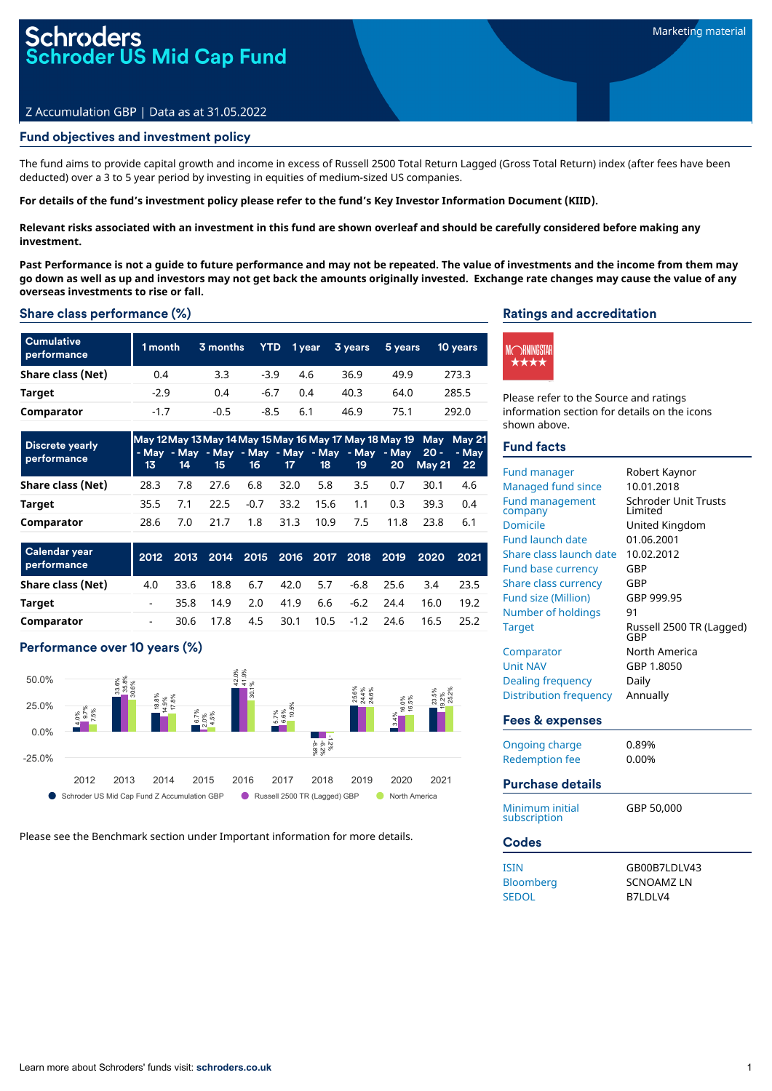# r<mark>oders</mark><br>oder US Mid Cap Fund

# Z Accumulation GBP | Data as at 31.05.2022

# Fund objectives and investment policy

The fund aims to provide capital growth and income in excess of Russell 2500 Total Return Lagged (Gross Total Return) index (after fees have been deducted) over a 3 to 5 year period by investing in equities of medium-sized US companies.

#### For details of the fund's investment policy please refer to the fund's Key Investor Information Document (KIID).

Relevant risks associated with an investment in this fund are shown overleaf and should be carefully considered before making any **investment.**

Past Performance is not a quide to future performance and may not be repeated. The value of investments and the income from them may go down as well as up and investors may not get back the amounts originally invested. Exchange rate changes may cause the value of any **overseas investments to rise or fall.**

#### Share class performance (%)

| <b>Cumulative</b><br>performance | 1 month | 3 months | <b>YTD</b> | $1$ year | 3 years | 5 years | 10 years |
|----------------------------------|---------|----------|------------|----------|---------|---------|----------|
| Share class (Net)                | 0.4     | 3.3      | $-3.9$     | 4.6      | 36.9    | 49.9    | 273.3    |
| Target                           | $-2.9$  | 0.4      | $-6.7$     | 0.4      | 40.3    | 64.0    | 285.5    |
| Comparator                       | $-1.7$  | $-0.5$   | -8.5       | 6.1      | 46.9    | 75.1    | 292.0    |

| <b>Discrete yearly</b><br>performance | 13   | 14  | 15   |     |                     |      | 16 17 18 19 |      | May 12 May 13 May 14 May 15 May 16 May 17 May 18 May 19 May May 21<br>- May - May - May - May - May - May - May - May 20 - - May<br>20 May 21 22 |     |
|---------------------------------------|------|-----|------|-----|---------------------|------|-------------|------|--------------------------------------------------------------------------------------------------------------------------------------------------|-----|
| Share class (Net)                     | 28.3 | 7.8 | 27.6 |     | 6.8 32.0 5.8        |      | 3.5         | 0.7  | 30.1                                                                                                                                             | 4.6 |
| Target                                | 35.5 | 7.1 |      |     | 22.5 -0.7 33.2 15.6 |      | 1.1         | 0.3  | 39.3                                                                                                                                             | 0.4 |
| Comparator                            | 28.6 | 7.0 | 21 7 | 1.8 | 31.3                | 10.9 | 7.5         | 11.8 | 23 R                                                                                                                                             | 6.1 |

| Calendar year<br>performance |     |      |          |     |      |     |                  |           | 2012 2013 2014 2015 2016 2017 2018 2019 2020 | 2021  |
|------------------------------|-----|------|----------|-----|------|-----|------------------|-----------|----------------------------------------------|-------|
| Share class (Net)            | 4.0 | 33.6 | 18.8     | 6.7 | 42.0 | 5.7 |                  | -6.8 25.6 | 3.4                                          | 23.5  |
| Target                       | -   | 35.8 | 14.9 2.0 |     | 41.9 |     | $6.6 - 6.2$ 24.4 |           | 16.0                                         | 19.2  |
| Comparator                   | -   | 30.6 | 17 R     | 4.5 | 30.1 |     | $10.5 -1.2$ 24.6 |           | 16.5                                         | -25.2 |

# Performance over 10 years (%)



Please see the Benchmark section under Important information for more details.

#### Ratings and accreditation



Please refer to the Source and ratings information section for details on the icons shown above.

# Fund facts

| <b>Fund manager</b><br>Managed fund since<br><b>Fund management</b><br>company<br><b>Domicile</b><br><b>Fund launch date</b><br>Share class launch date<br><b>Fund base currency</b><br><b>Share class currency</b><br><b>Fund size (Million)</b><br>Number of holdings<br><b>Target</b><br>Comparator<br><b>Unit NAV</b><br><b>Dealing frequency</b> | Robert Kaynor<br>10.01.2018<br><b>Schroder Unit Trusts</b><br>Limited<br>United Kingdom<br>01.06.2001<br>10.02.2012<br>GBP<br>GBP<br>GBP 999.95<br>91<br>Russell 2500 TR (Lagged)<br>GBP<br>North America<br>GBP 1.8050<br>Daily |
|-------------------------------------------------------------------------------------------------------------------------------------------------------------------------------------------------------------------------------------------------------------------------------------------------------------------------------------------------------|----------------------------------------------------------------------------------------------------------------------------------------------------------------------------------------------------------------------------------|
| <b>Distribution frequency</b>                                                                                                                                                                                                                                                                                                                         | Annually                                                                                                                                                                                                                         |
| Fees & expenses                                                                                                                                                                                                                                                                                                                                       |                                                                                                                                                                                                                                  |
| <b>Ongoing charge</b><br><b>Redemption fee</b>                                                                                                                                                                                                                                                                                                        | 0.89%<br>0.00%                                                                                                                                                                                                                   |
| <b>Purchase details</b>                                                                                                                                                                                                                                                                                                                               |                                                                                                                                                                                                                                  |
| Minimum initial<br>subscription                                                                                                                                                                                                                                                                                                                       | GBP 50.000                                                                                                                                                                                                                       |
| <b>Codes</b>                                                                                                                                                                                                                                                                                                                                          |                                                                                                                                                                                                                                  |
| <b>ISIN</b><br>Bloomberg<br><b>SEDOL</b>                                                                                                                                                                                                                                                                                                              | GB00B7LDLV43<br><b>SCNOAMZLN</b><br>B7LDLV4                                                                                                                                                                                      |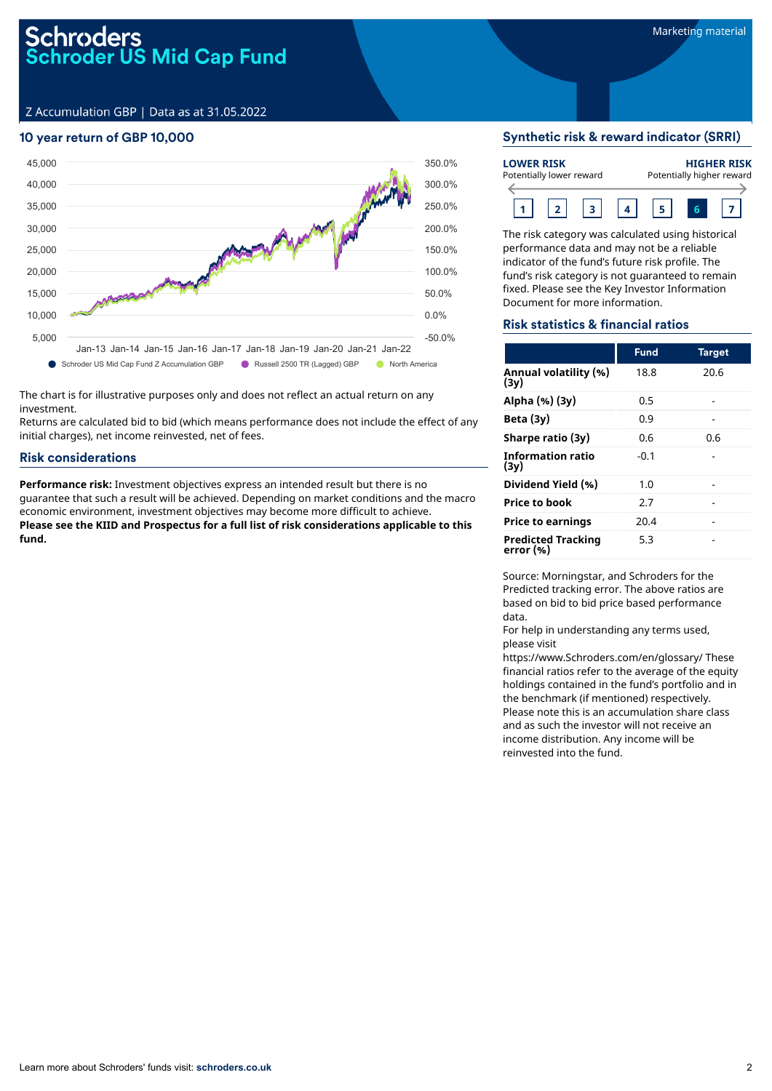# Schroders<br>Schroder US Mid Cap Fund

Z Accumulation GBP | Data as at 31.05.2022

# 10 year return of GBP 10,000



The chart is for illustrative purposes only and does not reflect an actual return on any investment.

Returns are calculated bid to bid (which means performance does not include the effect of any initial charges), net income reinvested, net of fees.

# Risk considerations

**Performance risk:** Investment objectives express an intended result but there is no guarantee that such a result will be achieved. Depending on market conditions and the macro economic environment, investment objectives may become more difficult to achieve. **Please see the KIID and Prospectus for a full list of risk considerations applicable to this fund.**

### Synthetic risk & reward indicator (SRRI)

| <b>LOWER RISK</b><br>Potentially lower reward |  |  |  |  | <b>HIGHER RISK</b><br>Potentially higher reward |
|-----------------------------------------------|--|--|--|--|-------------------------------------------------|
|                                               |  |  |  |  |                                                 |

The risk category was calculated using historical performance data and may not be a reliable indicator of the fund's future risk profile. The fund's risk category is not guaranteed to remain fixed. Please see the Key Investor Information Document for more information.

## Risk statistics & financial ratios

|                                        | <b>Fund</b> | <b>Target</b> |
|----------------------------------------|-------------|---------------|
| Annual volatility (%)<br>(3y)          | 18.8        | 20.6          |
| Alpha (%) (3y)                         | 0.5         |               |
| Beta (3y)                              | 0.9         |               |
| Sharpe ratio (3y)                      | 0.6         | 0.6           |
| <b>Information ratio</b><br>(3v)       | $-0.1$      |               |
| Dividend Yield (%)                     | 1.0         |               |
| <b>Price to book</b>                   | 2.7         |               |
| <b>Price to earnings</b>               | 20.4        |               |
| <b>Predicted Tracking</b><br>error (%) | 5.3         |               |

Source: Morningstar, and Schroders for the Predicted tracking error. The above ratios are based on bid to bid price based performance data.

For help in understanding any terms used, please visit

https://www.Schroders.com/en/glossary/ These financial ratios refer to the average of the equity holdings contained in the fund's portfolio and in the benchmark (if mentioned) respectively. Please note this is an accumulation share class and as such the investor will not receive an income distribution. Any income will be reinvested into the fund.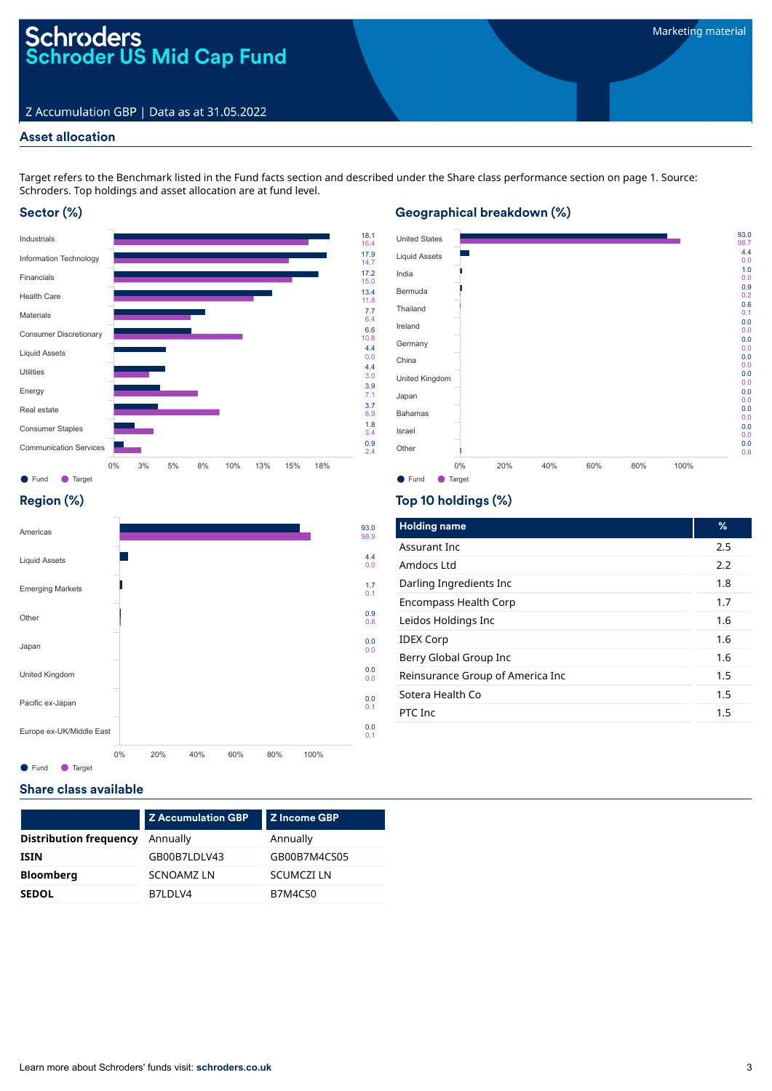# Schroders<br>Schroder US Mid Cap Fund

# Z Accumulation GBP | Data as at 31.05.2022

# Asset allocation

Target refers to the Benchmark listed in the Fund facts section and described under the Share class performance section on page 1. Source: Schroders. Top holdings and asset allocation are at fund level.

# Sector (%)



# Geographical breakdown (%)



# Region (%)



# Top 10 holdings (%)

| <b>Holding name</b>              | ℅       |
|----------------------------------|---------|
| Assurant Inc.                    | 2.5     |
| Amdors Ltd                       | 2.2     |
| Darling Ingredients Inc          | 1.8     |
| Encompass Health Corp            | 1.7     |
| Leidos Holdings Inc              | 1.6     |
| <b>IDEX Corp</b>                 | 1.6     |
| Berry Global Group Inc           | 1.6     |
| Reinsurance Group of America Inc | 1.5     |
| Sotera Health Co                 | 1.5     |
| PTC Inc                          | $1.5\,$ |
|                                  |         |

# Share class available

|                               | Z Accumulation GBP | Z Income GBP      |
|-------------------------------|--------------------|-------------------|
| <b>Distribution frequency</b> | Annually           | Annually          |
| <b>ISIN</b>                   | GB00B7LDLV43       | GB00B7M4CS05      |
| <b>Bloomberg</b>              | <b>SCNOAMZLN</b>   | <b>SCUMCZI LN</b> |
| <b>SEDOL</b>                  | B7LDLV4            | B7M4CS0           |